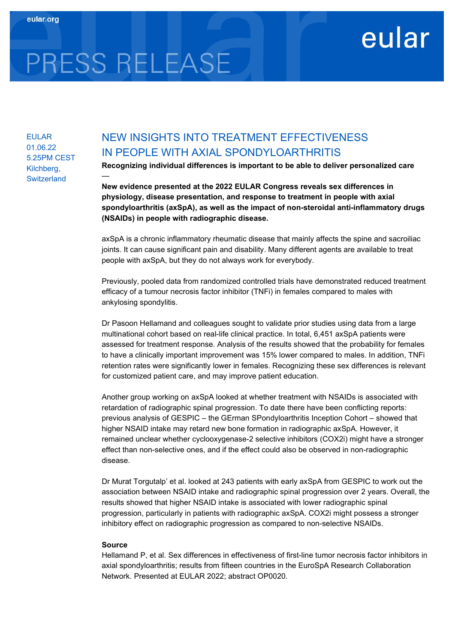## eular

# PRESS RELEASE

EULAR 01.06.22 5.25PM CEST Kilchberg, **Switzerland** 

### NEW INSIGHTS INTO TREATMENT EFFECTIVENESS IN PEOPLE WITH AXIAL SPONDYLOARTHRITIS

Recognizing individual differences is important to be able to deliver personalized care —

New evidence presented at the 2022 EULAR Congress reveals sex differences in physiology, disease presentation, and response to treatment in people with axial spondyloarthritis (axSpA), as well as the impact of non-steroidal anti-inflammatory drugs (NSAIDs) in people with radiographic disease.

axSpA is a chronic inflammatory rheumatic disease that mainly affects the spine and sacroiliac joints. It can cause significant pain and disability. Many different agents are available to treat people with axSpA, but they do not always work for everybody.

Previously, pooled data from randomized controlled trials have demonstrated reduced treatment efficacy of a tumour necrosis factor inhibitor (TNFi) in females compared to males with ankylosing spondylitis.

Dr Pasoon Hellamand and colleagues sought to validate prior studies using data from a large multinational cohort based on real-life clinical practice. In total, 6,451 axSpA patients were assessed for treatment response. Analysis of the results showed that the probability for females to have a clinically important improvement was 15% lower compared to males. In addition, TNFi retention rates were significantly lower in females. Recognizing these sex differences is relevant for customized patient care, and may improve patient education.

Another group working on axSpA looked at whether treatment with NSAIDs is associated with retardation of radiographic spinal progression. To date there have been conflicting reports: previous analysis of GESPIC – the GErman SPondyloarthritis Inception Cohort – showed that higher NSAID intake may retard new bone formation in radiographic axSpA. However, it remained unclear whether cyclooxygenase-2 selective inhibitors (COX2i) might have a stronger effect than non-selective ones, and if the effect could also be observed in non-radiographic disease.

Dr Murat Torgutalp' et al. looked at 243 patients with early axSpA from GESPIC to work out the association between NSAID intake and radiographic spinal progression over 2 years. Overall, the results showed that higher NSAID intake is associated with lower radiographic spinal progression, particularly in patients with radiographic axSpA. COX2i might possess a stronger inhibitory effect on radiographic progression as compared to non-selective NSAIDs.

#### Source

Hellamand P, et al. Sex differences in effectiveness of first-line tumor necrosis factor inhibitors in axial spondyloarthritis; results from fifteen countries in the EuroSpA Research Collaboration Network. Presented at EULAR 2022; abstract OP0020.